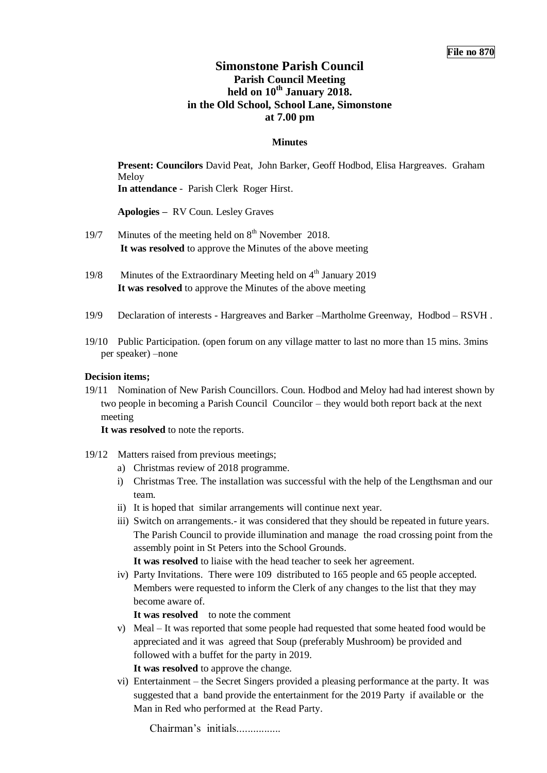# **Simonstone Parish Council Parish Council Meeting held on 10th January 2018. in the Old School, School Lane, Simonstone at 7.00 pm**

## **Minutes**

**Present: Councilors** David Peat, John Barker, Geoff Hodbod, Elisa Hargreaves. Graham Meloy **In attendance** - Parish Clerk Roger Hirst.

**Apologies –** RV Coun. Lesley Graves

- 19/7 Minutes of the meeting held on  $8<sup>th</sup>$  November 2018. **It was resolved** to approve the Minutes of the above meeting
- 19/8 Minutes of the Extraordinary Meeting held on  $4<sup>th</sup>$  January 2019 **It was resolved** to approve the Minutes of the above meeting
- 19/9 Declaration of interests Hargreaves and Barker –Martholme Greenway, Hodbod RSVH .
- 19/10 Public Participation. (open forum on any village matter to last no more than 15 mins. 3mins per speaker) –none

## **Decision items;**

19/11 Nomination of New Parish Councillors. Coun. Hodbod and Meloy had had interest shown by two people in becoming a Parish Council Councilor – they would both report back at the next meeting

**It was resolved** to note the reports.

- 19/12 Matters raised from previous meetings;
	- a) Christmas review of 2018 programme.
	- i) Christmas Tree. The installation was successful with the help of the Lengthsman and our team.
	- ii) It is hoped that similar arrangements will continue next year.
	- iii) Switch on arrangements.- it was considered that they should be repeated in future years. The Parish Council to provide illumination and manage the road crossing point from the assembly point in St Peters into the School Grounds.

**It was resolved** to liaise with the head teacher to seek her agreement.

iv) Party Invitations. There were 109 distributed to 165 people and 65 people accepted. Members were requested to inform the Clerk of any changes to the list that they may become aware of.

It was resolved to note the comment

v) Meal – It was reported that some people had requested that some heated food would be appreciated and it was agreed that Soup (preferably Mushroom) be provided and followed with a buffet for the party in 2019.

**It was resolved** to approve the change.

vi) Entertainment – the Secret Singers provided a pleasing performance at the party. It was suggested that a band provide the entertainment for the 2019 Party if available or the Man in Red who performed at the Read Party.

Chairman's initials................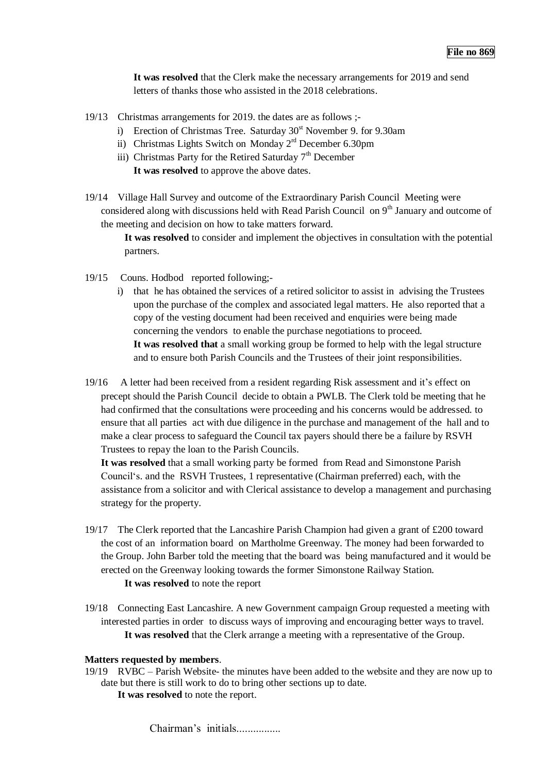**It was resolved** that the Clerk make the necessary arrangements for 2019 and send letters of thanks those who assisted in the 2018 celebrations.

- 19/13 Christmas arrangements for 2019. the dates are as follows ;
	- i) Erection of Christmas Tree. Saturday  $30<sup>st</sup>$  November 9. for 9.30am
	- ii) Christmas Lights Switch on Monday  $2<sup>rd</sup>$  December 6.30pm
	- iii) Christmas Party for the Retired Saturday  $7<sup>th</sup>$  December **It was resolved** to approve the above dates.
- 19/14 Village Hall Survey and outcome of the Extraordinary Parish Council Meeting were considered along with discussions held with Read Parish Council on  $9<sup>th</sup>$  January and outcome of the meeting and decision on how to take matters forward.
	- **It was resolved** to consider and implement the objectives in consultation with the potential partners.
- 19/15 Couns. Hodbod reported following;
	- i) that he has obtained the services of a retired solicitor to assist in advising the Trustees upon the purchase of the complex and associated legal matters. He also reported that a copy of the vesting document had been received and enquiries were being made concerning the vendors to enable the purchase negotiations to proceed. **It was resolved that** a small working group be formed to help with the legal structure and to ensure both Parish Councils and the Trustees of their joint responsibilities.
- 19/16 A letter had been received from a resident regarding Risk assessment and it's effect on precept should the Parish Council decide to obtain a PWLB. The Clerk told be meeting that he had confirmed that the consultations were proceeding and his concerns would be addressed. to ensure that all parties act with due diligence in the purchase and management of the hall and to make a clear process to safeguard the Council tax payers should there be a failure by RSVH Trustees to repay the loan to the Parish Councils.

**It was resolved** that a small working party be formed from Read and Simonstone Parish Council's. and the RSVH Trustees, 1 representative (Chairman preferred) each, with the assistance from a solicitor and with Clerical assistance to develop a management and purchasing strategy for the property.

- 19/17 The Clerk reported that the Lancashire Parish Champion had given a grant of £200 toward the cost of an information board on Martholme Greenway. The money had been forwarded to the Group. John Barber told the meeting that the board was being manufactured and it would be erected on the Greenway looking towards the former Simonstone Railway Station. **It was resolved** to note the report
- 19/18 Connecting East Lancashire. A new Government campaign Group requested a meeting with interested parties in order to discuss ways of improving and encouraging better ways to travel. **It was resolved** that the Clerk arrange a meeting with a representative of the Group.

### **Matters requested by members**.

19/19 RVBC – Parish Website- the minutes have been added to the website and they are now up to date but there is still work to do to bring other sections up to date. **It was resolved** to note the report.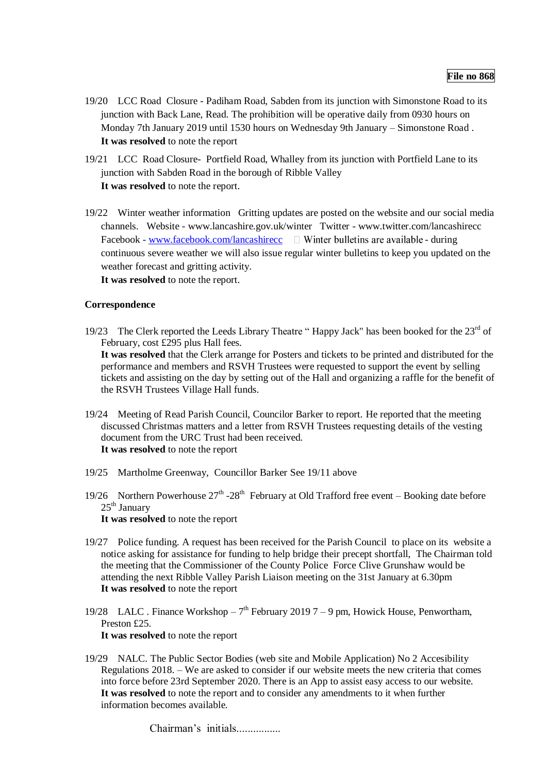- 19/20 LCC Road Closure Padiham Road, Sabden from its junction with Simonstone Road to its junction with Back Lane, Read. The prohibition will be operative daily from 0930 hours on Monday 7th January 2019 until 1530 hours on Wednesday 9th January – Simonstone Road . **It was resolved** to note the report
- 19/21 LCC Road Closure- Portfield Road, Whalley from its junction with Portfield Lane to its junction with Sabden Road in the borough of Ribble Valley **It was resolved** to note the report.
- 19/22 Winter weather information Gritting updates are posted on the website and our social media channels. Website - www.lancashire.gov.uk/winter Twitter - www.twitter.com/lancashirecc Facebook - [www.facebook.com/lancashirecc](http://www.facebook.com/lancashirecc)  $\Box$  Winter bulletins are available - during continuous severe weather we will also issue regular winter bulletins to keep you updated on the weather forecast and gritting activity.

**It was resolved** to note the report.

## **Correspondence**

- 19/23 The Clerk reported the Leeds Library Theatre "Happy Jack" has been booked for the 23<sup>rd</sup> of February, cost £295 plus Hall fees. **It was resolved** that the Clerk arrange for Posters and tickets to be printed and distributed for the performance and members and RSVH Trustees were requested to support the event by selling tickets and assisting on the day by setting out of the Hall and organizing a raffle for the benefit of the RSVH Trustees Village Hall funds.
- 19/24 Meeting of Read Parish Council, Councilor Barker to report. He reported that the meeting discussed Christmas matters and a letter from RSVH Trustees requesting details of the vesting document from the URC Trust had been received. **It was resolved** to note the report
- 19/25 Martholme Greenway, Councillor Barker See 19/11 above
- 19/26 Northern Powerhouse  $27<sup>th</sup> 28<sup>th</sup>$  February at Old Trafford free event Booking date before  $25<sup>th</sup>$  January **It was resolved** to note the report
- 19/27 Police funding. A request has been received for the Parish Council to place on its website a notice asking for assistance for funding to help bridge their precept shortfall, The Chairman told the meeting that the Commissioner of the County Police Force Clive Grunshaw would be attending the next Ribble Valley Parish Liaison meeting on the 31st January at 6.30pm **It was resolved** to note the report
- 19/28 LALC . Finance Workshop  $-7<sup>th</sup>$  February 2019 7 9 pm, Howick House, Penwortham, Preston £25. **It was resolved** to note the report
- 19/29 NALC. The Public Sector Bodies (web site and Mobile Application) No 2 Accesibility Regulations 2018. – We are asked to consider if our website meets the new criteria that comes into force before 23rd September 2020. There is an App to assist easy access to our website. **It was resolved** to note the report and to consider any amendments to it when further information becomes available.

Chairman's initials.................